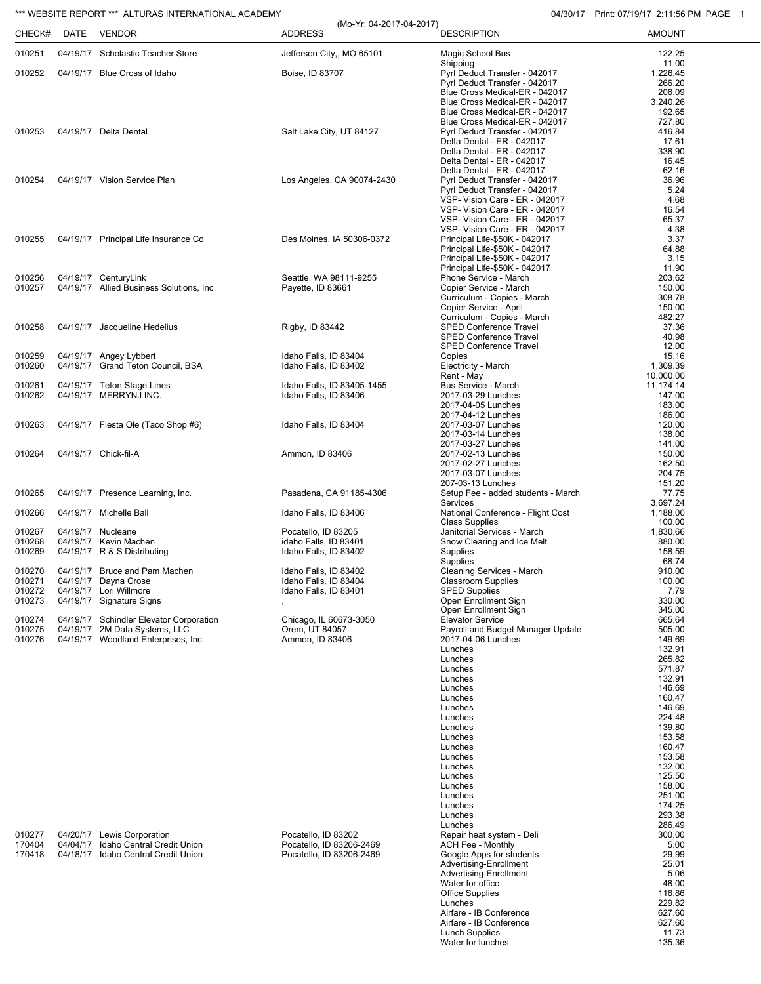## \*\*\* WEBSITE REPORT \*\*\* ALTURAS INTERNATIONAL ACADEMY **04/30/17** Print: 07/19/17 2:11:56 PM PAGE 1

| CHECK#                               | DATE | *** WEBSITE REPORT *** ALTURAS INTERNATIONAL ACADEMY<br><b>VENDOR</b>                                           | (Mo-Yr: 04-2017-04-2017)<br><b>ADDRESS</b>                                  | <b>DESCRIPTION</b>                                                                                                                                                                                                                                                                                                       | 04/30/17 Print: 07/19/17 2:11:56 PM F<br><b>AMOUNT</b>                                                                                   |
|--------------------------------------|------|-----------------------------------------------------------------------------------------------------------------|-----------------------------------------------------------------------------|--------------------------------------------------------------------------------------------------------------------------------------------------------------------------------------------------------------------------------------------------------------------------------------------------------------------------|------------------------------------------------------------------------------------------------------------------------------------------|
| 010251                               |      | 04/19/17 Scholastic Teacher Store                                                                               | Jefferson City,, MO 65101                                                   | Magic School Bus                                                                                                                                                                                                                                                                                                         | 122.25                                                                                                                                   |
| 010252                               |      | 04/19/17 Blue Cross of Idaho                                                                                    | Boise, ID 83707                                                             | Shipping<br>Pyrl Deduct Transfer - 042017<br>Pyrl Deduct Transfer - 042017<br>Blue Cross Medical-ER - 042017                                                                                                                                                                                                             | 11.00<br>1,226.45<br>266.20<br>206.09                                                                                                    |
| 010253                               |      | 04/19/17 Delta Dental                                                                                           | Salt Lake City, UT 84127                                                    | Blue Cross Medical-ER - 042017<br>Blue Cross Medical-ER - 042017<br>Blue Cross Medical-ER - 042017<br>Pyrl Deduct Transfer - 042017<br>Delta Dental - ER - 042017<br>Delta Dental - ER - 042017<br>Delta Dental - ER - 042017                                                                                            | 3,240.26<br>192.65<br>727.80<br>416.84<br>17.61<br>338.90<br>16.45                                                                       |
| 010254                               |      | 04/19/17 Vision Service Plan                                                                                    | Los Angeles, CA 90074-2430                                                  | Delta Dental - ER - 042017<br>Pyrl Deduct Transfer - 042017<br>Pyrl Deduct Transfer - 042017<br>VSP- Vision Care - ER - 042017<br>VSP- Vision Care - ER - 042017                                                                                                                                                         | 62.16<br>36.96<br>5.24<br>4.68<br>16.54                                                                                                  |
| 010255                               |      | 04/19/17 Principal Life Insurance Co                                                                            | Des Moines, IA 50306-0372                                                   | VSP- Vision Care - ER - 042017<br>VSP- Vision Care - ER - 042017<br>Principal Life-\$50K - 042017<br>Principal Life-\$50K - 042017<br>Principal Life-\$50K - 042017                                                                                                                                                      | 65.37<br>4.38<br>3.37<br>64.88<br>3.15                                                                                                   |
| 010256<br>010257                     |      | 04/19/17 CenturyLink<br>04/19/17 Allied Business Solutions, Inc.                                                | Seattle, WA 98111-9255<br>Payette, ID 83661                                 | Principal Life-\$50K - 042017<br>Phone Service - March<br>Copier Service - March<br>Curriculum - Copies - March<br>Copier Service - April                                                                                                                                                                                | 11.90<br>203.62<br>150.00<br>308.78<br>150.00                                                                                            |
| 010258                               |      | 04/19/17 Jacqueline Hedelius                                                                                    | Rigby, ID 83442                                                             | Curriculum - Copies - March<br><b>SPED Conference Travel</b><br><b>SPED Conference Travel</b><br><b>SPED Conference Travel</b>                                                                                                                                                                                           | 482.27<br>37.36<br>40.98<br>12.00                                                                                                        |
| 010259<br>010260                     |      | 04/19/17 Angey Lybbert<br>04/19/17 Grand Teton Council, BSA                                                     | Idaho Falls, ID 83404<br>Idaho Falls, ID 83402                              | Copies<br>Electricity - March<br>Rent - May                                                                                                                                                                                                                                                                              | 15.16<br>1,309.39<br>10,000.00                                                                                                           |
| 010261<br>010262                     |      | 04/19/17 Teton Stage Lines<br>04/19/17 MERRYNJ INC.                                                             | Idaho Falls, ID 83405-1455<br>Idaho Falls, ID 83406                         | Bus Service - March<br>2017-03-29 Lunches<br>2017-04-05 Lunches                                                                                                                                                                                                                                                          | 11,174.14<br>147.00<br>183.00                                                                                                            |
| 010263                               |      | 04/19/17 Fiesta Ole (Taco Shop #6)                                                                              | Idaho Falls, ID 83404                                                       | 2017-04-12 Lunches<br>2017-03-07 Lunches<br>2017-03-14 Lunches<br>2017-03-27 Lunches                                                                                                                                                                                                                                     | 186.00<br>120.00<br>138.00<br>141.00                                                                                                     |
| 010264                               |      | 04/19/17 Chick-fil-A                                                                                            | Ammon, ID 83406                                                             | 2017-02-13 Lunches<br>2017-02-27 Lunches<br>2017-03-07 Lunches                                                                                                                                                                                                                                                           | 150.00<br>162.50<br>204.75                                                                                                               |
| 010265                               |      | 04/19/17 Presence Learning, Inc.                                                                                | Pasadena, CA 91185-4306                                                     | 207-03-13 Lunches<br>Setup Fee - added students - March                                                                                                                                                                                                                                                                  | 151.20<br>77.75                                                                                                                          |
| 010266                               |      | 04/19/17 Michelle Ball                                                                                          | Idaho Falls, ID 83406                                                       | Services<br>National Conference - Flight Cost                                                                                                                                                                                                                                                                            | 3,697.24<br>1,188.00                                                                                                                     |
| 010267<br>010268<br>010269           |      | 04/19/17 Nucleane<br>04/19/17 Kevin Machen<br>04/19/17 R & S Distributing                                       | Pocatello, ID 83205<br>idaho Falls, ID 83401<br>Idaho Falls, ID 83402       | <b>Class Supplies</b><br>Janitorial Services - March<br>Snow Clearing and Ice Melt<br>Supplies                                                                                                                                                                                                                           | 100.00<br>1,830.66<br>880.00<br>158.59                                                                                                   |
| 010270<br>010271<br>010272<br>010273 |      | 04/19/17 Bruce and Pam Machen<br>04/19/17 Dayna Crose<br>04/19/17 Lori Willmore<br>04/19/17 Signature Signs     | Idaho Falls, ID 83402<br>Idaho Falls, ID 83404<br>Idaho Falls, ID 83401     | Supplies<br>Cleaning Services - March<br><b>Classroom Supplies</b><br><b>SPED Supplies</b><br>Open Enrollment Sign                                                                                                                                                                                                       | 68.74<br>910.00<br>100.00<br>7.79<br>330.00                                                                                              |
| 010274<br>010275<br>010276           |      | 04/19/17 Schindler Elevator Corporation<br>04/19/17 2M Data Systems, LLC<br>04/19/17 Woodland Enterprises, Inc. | Chicago, IL 60673-3050<br>Orem, UT 84057<br>Ammon, ID 83406                 | Open Enrollment Sign<br><b>Elevator Service</b><br>Payroll and Budget Manager Update<br>2017-04-06 Lunches<br>Lunches<br>Lunches<br>Lunches                                                                                                                                                                              | 345.00<br>665.64<br>505.00<br>149.69<br>132.91<br>265.82<br>571.87                                                                       |
|                                      |      |                                                                                                                 |                                                                             | Lunches<br>Lunches<br>Lunches<br>Lunches<br>Lunches<br>Lunches<br>Lunches<br>Lunches<br>Lunches<br>Lunches<br>Lunches<br>Lunches<br>Lunches<br>Lunches                                                                                                                                                                   | 132.91<br>146.69<br>160.47<br>146.69<br>224.48<br>139.80<br>153.58<br>160.47<br>153.58<br>132.00<br>125.50<br>158.00<br>251.00<br>174.25 |
| 010277<br>170404<br>170418           |      | 04/20/17 Lewis Corporation<br>04/04/17 Idaho Central Credit Union<br>04/18/17 Idaho Central Credit Union        | Pocatello, ID 83202<br>Pocatello, ID 83206-2469<br>Pocatello, ID 83206-2469 | Lunches<br>Lunches<br>Repair heat system - Deli<br><b>ACH Fee - Monthly</b><br>Google Apps for students<br>Advertising-Enrollment<br>Advertising-Enrollment<br>Water for officc<br><b>Office Supplies</b><br>Lunches<br>Airfare - IB Conference<br>Airfare - IB Conference<br><b>Lunch Supplies</b><br>Water for lunches | 293.38<br>286.49<br>300.00<br>5.00<br>29.99<br>25.01<br>5.06<br>48.00<br>116.86<br>229.82<br>627.60<br>627.60<br>11.73<br>135.36         |